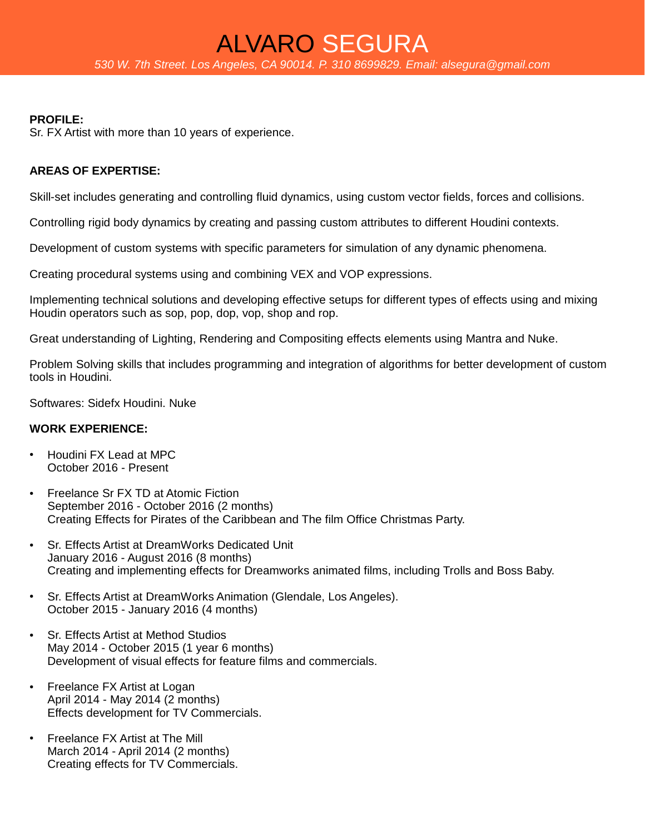# **PROFILE:**

Sr. FX Artist with more than 10 years of experience.

# **AREAS OF EXPERTISE:**

Skill-set includes generating and controlling fluid dynamics, using custom vector fields, forces and collisions.

Controlling rigid body dynamics by creating and passing custom attributes to different Houdini contexts.

Development of custom systems with specific parameters for simulation of any dynamic phenomena.

Creating procedural systems using and combining VEX and VOP expressions.

Implementing technical solutions and developing effective setups for different types of effects using and mixing Houdin operators such as sop, pop, dop, vop, shop and rop.

Great understanding of Lighting, Rendering and Compositing effects elements using Mantra and Nuke.

Problem Solving skills that includes programming and integration of algorithms for better development of custom tools in Houdini.

Softwares: Sidefx Houdini. Nuke

## **WORK EXPERIENCE:**

- Houdini FX Lead at MPC October 2016 - Present
- Freelance Sr FX TD at Atomic Fiction September 2016 - October 2016 (2 months) Creating Effects for Pirates of the Caribbean and The film Office Christmas Party.
- **Sr. Effects Artist at DreamWorks Dedicated Unit** January 2016 - August 2016 (8 months) Creating and implementing effects for Dreamworks animated films, including Trolls and Boss Baby.
- Sr. Effects Artist at DreamWorks Animation (Glendale, Los Angeles). October 2015 - January 2016 (4 months)
- Sr. Effects Artist at Method Studios May 2014 - October 2015 (1 year 6 months) Development of visual effects for feature films and commercials.
- Freelance FX Artist at Logan April 2014 - May 2014 (2 months) Effects development for TV Commercials.
- Freelance FX Artist at The Mill March 2014 - April 2014 (2 months) Creating effects for TV Commercials.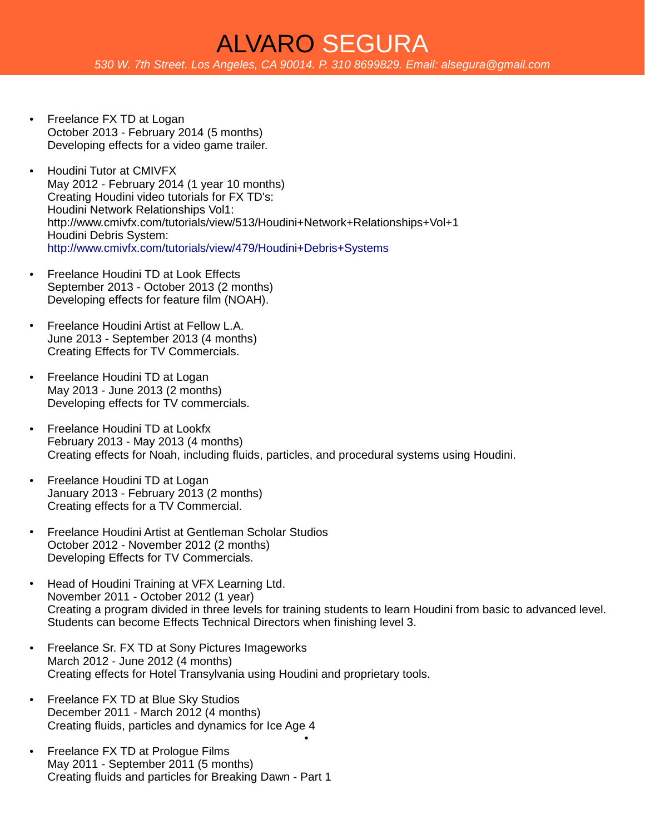- Freelance FX TD at Logan October 2013 - February 2014 (5 months) Developing effects for a video game trailer.
- Houdini Tutor at CMIVFX May 2012 - February 2014 (1 year 10 months) Creating Houdini video tutorials for FX TD's: Houdini Network Relationships Vol1: http://www.cmivfx.com/tutorials/view/513/Houdini+Network+Relationships+Vol+1 Houdini Debris System: <http://www.cmivfx.com/tutorials/view/479/Houdini+Debris+Systems>
- Freelance Houdini TD at Look Effects September 2013 - October 2013 (2 months) Developing effects for feature film (NOAH).
- Freelance Houdini Artist at Fellow L.A. June 2013 - September 2013 (4 months) Creating Effects for TV Commercials.
- Freelance Houdini TD at Logan May 2013 - June 2013 (2 months) Developing effects for TV commercials.
- Freelance Houdini TD at Lookfx February 2013 - May 2013 (4 months) Creating effects for Noah, including fluids, particles, and procedural systems using Houdini.
- Freelance Houdini TD at Logan January 2013 - February 2013 (2 months) Creating effects for a TV Commercial.
- Freelance Houdini Artist at Gentleman Scholar Studios October 2012 - November 2012 (2 months) Developing Effects for TV Commercials.
- Head of Houdini Training at VFX Learning Ltd. November 2011 - October 2012 (1 year) Creating a program divided in three levels for training students to learn Houdini from basic to advanced level. Students can become Effects Technical Directors when finishing level 3.

●

- Freelance Sr. FX TD at Sony Pictures Imageworks March 2012 - June 2012 (4 months) Creating effects for Hotel Transylvania using Houdini and proprietary tools.
- Freelance FX TD at Blue Sky Studios December 2011 - March 2012 (4 months) Creating fluids, particles and dynamics for Ice Age 4
- Freelance FX TD at Prologue Films May 2011 - September 2011 (5 months) Creating fluids and particles for Breaking Dawn - Part 1